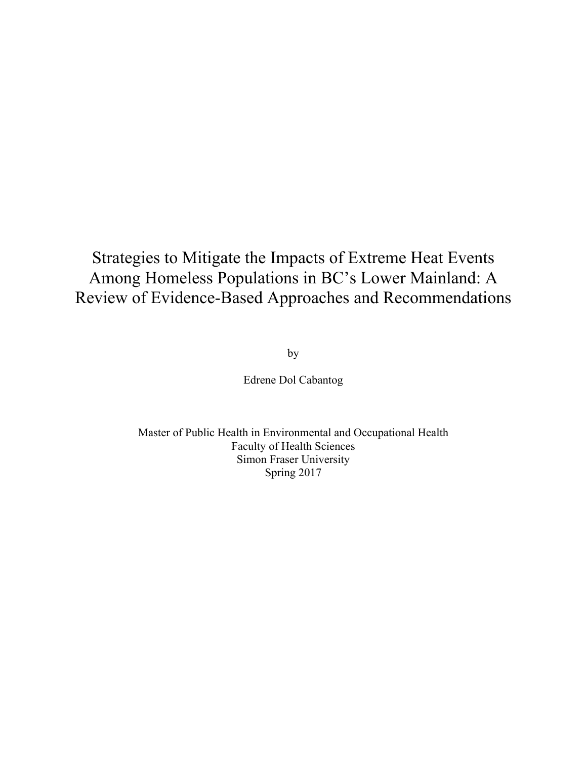# Strategies to Mitigate the Impacts of Extreme Heat Events Among Homeless Populations in BC's Lower Mainland: A Review of Evidence-Based Approaches and Recommendations

by

Edrene Dol Cabantog

Master of Public Health in Environmental and Occupational Health Faculty of Health Sciences Simon Fraser University Spring 2017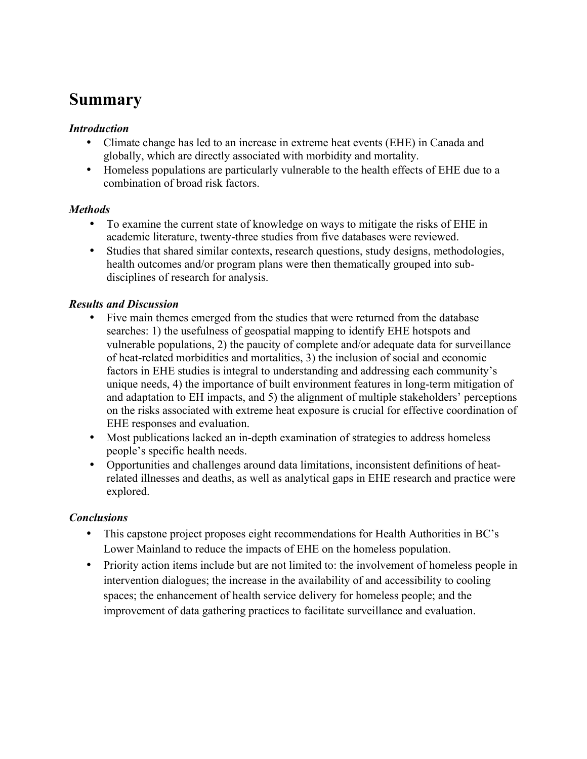# **Summary**

### *Introduction*

- Climate change has led to an increase in extreme heat events (EHE) in Canada and globally, which are directly associated with morbidity and mortality.
- Homeless populations are particularly vulnerable to the health effects of EHE due to a combination of broad risk factors.

### *Methods*

- To examine the current state of knowledge on ways to mitigate the risks of EHE in academic literature, twenty-three studies from five databases were reviewed.
- Studies that shared similar contexts, research questions, study designs, methodologies, health outcomes and/or program plans were then thematically grouped into subdisciplines of research for analysis.

### *Results and Discussion*

- Five main themes emerged from the studies that were returned from the database searches: 1) the usefulness of geospatial mapping to identify EHE hotspots and vulnerable populations, 2) the paucity of complete and/or adequate data for surveillance of heat-related morbidities and mortalities, 3) the inclusion of social and economic factors in EHE studies is integral to understanding and addressing each community's unique needs, 4) the importance of built environment features in long-term mitigation of and adaptation to EH impacts, and 5) the alignment of multiple stakeholders' perceptions on the risks associated with extreme heat exposure is crucial for effective coordination of EHE responses and evaluation.
- Most publications lacked an in-depth examination of strategies to address homeless people's specific health needs.
- Opportunities and challenges around data limitations, inconsistent definitions of heatrelated illnesses and deaths, as well as analytical gaps in EHE research and practice were explored.

### *Conclusions*

- This capstone project proposes eight recommendations for Health Authorities in BC's Lower Mainland to reduce the impacts of EHE on the homeless population.
- Priority action items include but are not limited to: the involvement of homeless people in intervention dialogues; the increase in the availability of and accessibility to cooling spaces; the enhancement of health service delivery for homeless people; and the improvement of data gathering practices to facilitate surveillance and evaluation.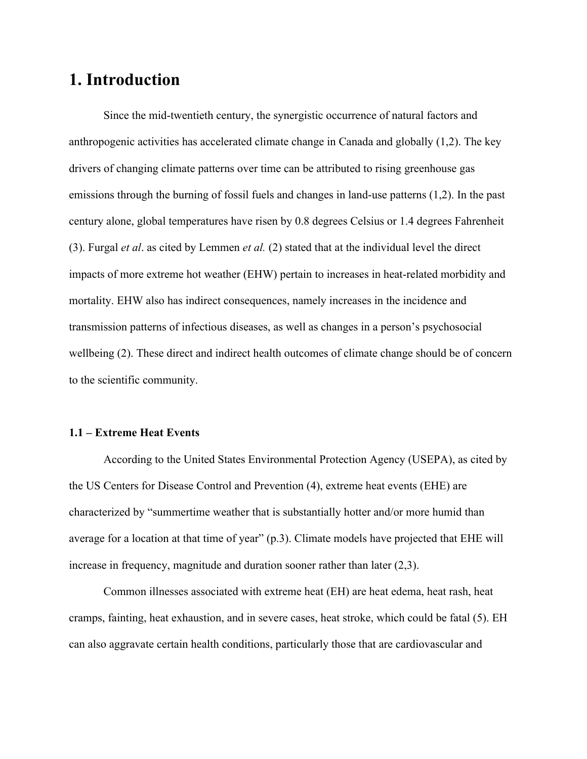## **1. Introduction**

Since the mid-twentieth century, the synergistic occurrence of natural factors and anthropogenic activities has accelerated climate change in Canada and globally (1,2). The key drivers of changing climate patterns over time can be attributed to rising greenhouse gas emissions through the burning of fossil fuels and changes in land-use patterns (1,2). In the past century alone, global temperatures have risen by 0.8 degrees Celsius or 1.4 degrees Fahrenheit (3). Furgal *et al*. as cited by Lemmen *et al.* (2) stated that at the individual level the direct impacts of more extreme hot weather (EHW) pertain to increases in heat-related morbidity and mortality. EHW also has indirect consequences, namely increases in the incidence and transmission patterns of infectious diseases, as well as changes in a person's psychosocial wellbeing (2). These direct and indirect health outcomes of climate change should be of concern to the scientific community.

### **1.1 – Extreme Heat Events**

According to the United States Environmental Protection Agency (USEPA), as cited by the US Centers for Disease Control and Prevention (4), extreme heat events (EHE) are characterized by "summertime weather that is substantially hotter and/or more humid than average for a location at that time of year" (p.3). Climate models have projected that EHE will increase in frequency, magnitude and duration sooner rather than later (2,3).

Common illnesses associated with extreme heat (EH) are heat edema, heat rash, heat cramps, fainting, heat exhaustion, and in severe cases, heat stroke, which could be fatal (5). EH can also aggravate certain health conditions, particularly those that are cardiovascular and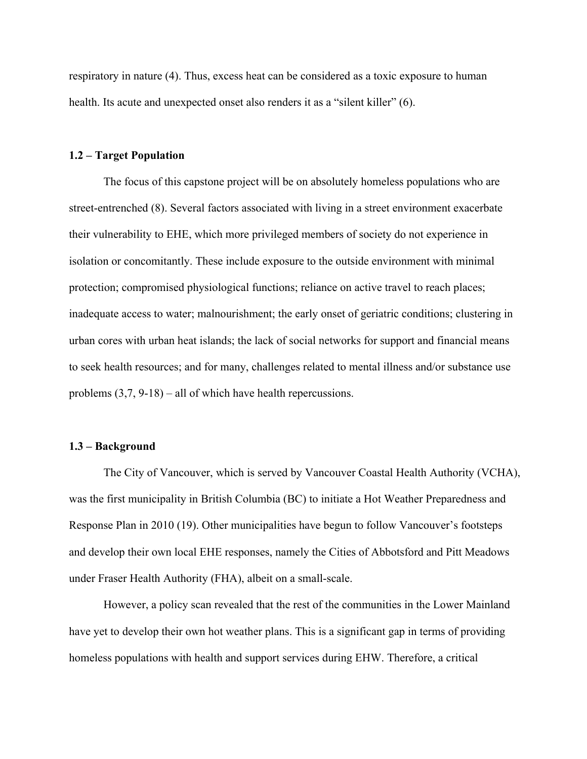respiratory in nature (4). Thus, excess heat can be considered as a toxic exposure to human health. Its acute and unexpected onset also renders it as a "silent killer" (6).

#### **1.2 – Target Population**

The focus of this capstone project will be on absolutely homeless populations who are street-entrenched (8). Several factors associated with living in a street environment exacerbate their vulnerability to EHE, which more privileged members of society do not experience in isolation or concomitantly. These include exposure to the outside environment with minimal protection; compromised physiological functions; reliance on active travel to reach places; inadequate access to water; malnourishment; the early onset of geriatric conditions; clustering in urban cores with urban heat islands; the lack of social networks for support and financial means to seek health resources; and for many, challenges related to mental illness and/or substance use problems (3,7, 9-18) – all of which have health repercussions.

#### **1.3 – Background**

The City of Vancouver, which is served by Vancouver Coastal Health Authority (VCHA), was the first municipality in British Columbia (BC) to initiate a Hot Weather Preparedness and Response Plan in 2010 (19). Other municipalities have begun to follow Vancouver's footsteps and develop their own local EHE responses, namely the Cities of Abbotsford and Pitt Meadows under Fraser Health Authority (FHA), albeit on a small-scale.

However, a policy scan revealed that the rest of the communities in the Lower Mainland have yet to develop their own hot weather plans. This is a significant gap in terms of providing homeless populations with health and support services during EHW. Therefore, a critical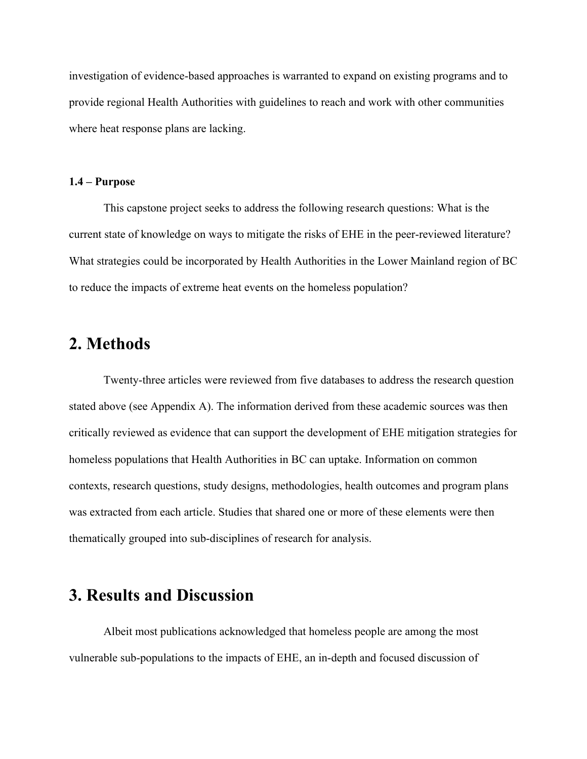investigation of evidence-based approaches is warranted to expand on existing programs and to provide regional Health Authorities with guidelines to reach and work with other communities where heat response plans are lacking.

#### **1.4 – Purpose**

This capstone project seeks to address the following research questions: What is the current state of knowledge on ways to mitigate the risks of EHE in the peer-reviewed literature? What strategies could be incorporated by Health Authorities in the Lower Mainland region of BC to reduce the impacts of extreme heat events on the homeless population?

### **2. Methods**

Twenty-three articles were reviewed from five databases to address the research question stated above (see Appendix A). The information derived from these academic sources was then critically reviewed as evidence that can support the development of EHE mitigation strategies for homeless populations that Health Authorities in BC can uptake. Information on common contexts, research questions, study designs, methodologies, health outcomes and program plans was extracted from each article. Studies that shared one or more of these elements were then thematically grouped into sub-disciplines of research for analysis.

## **3. Results and Discussion**

Albeit most publications acknowledged that homeless people are among the most vulnerable sub-populations to the impacts of EHE, an in-depth and focused discussion of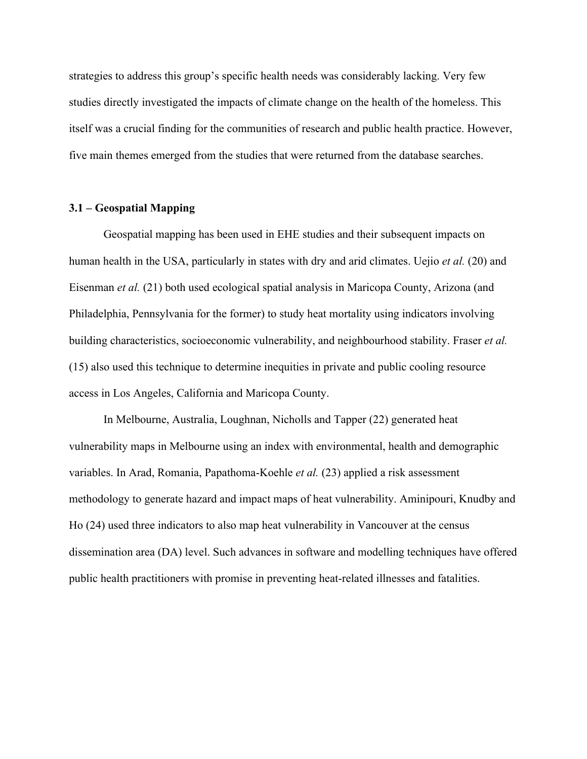strategies to address this group's specific health needs was considerably lacking. Very few studies directly investigated the impacts of climate change on the health of the homeless. This itself was a crucial finding for the communities of research and public health practice. However, five main themes emerged from the studies that were returned from the database searches.

#### **3.1 – Geospatial Mapping**

Geospatial mapping has been used in EHE studies and their subsequent impacts on human health in the USA, particularly in states with dry and arid climates. Uejio *et al.* (20) and Eisenman *et al.* (21) both used ecological spatial analysis in Maricopa County, Arizona (and Philadelphia, Pennsylvania for the former) to study heat mortality using indicators involving building characteristics, socioeconomic vulnerability, and neighbourhood stability. Fraser *et al.* (15) also used this technique to determine inequities in private and public cooling resource access in Los Angeles, California and Maricopa County.

In Melbourne, Australia, Loughnan, Nicholls and Tapper (22) generated heat vulnerability maps in Melbourne using an index with environmental, health and demographic variables. In Arad, Romania, Papathoma-Koehle *et al.* (23) applied a risk assessment methodology to generate hazard and impact maps of heat vulnerability. Aminipouri, Knudby and Ho (24) used three indicators to also map heat vulnerability in Vancouver at the census dissemination area (DA) level. Such advances in software and modelling techniques have offered public health practitioners with promise in preventing heat-related illnesses and fatalities.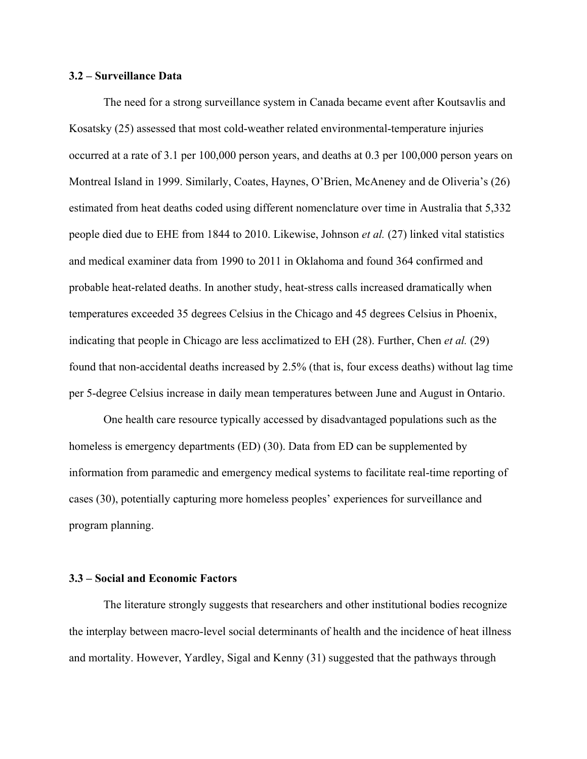#### **3.2 – Surveillance Data**

The need for a strong surveillance system in Canada became event after Koutsavlis and Kosatsky (25) assessed that most cold-weather related environmental-temperature injuries occurred at a rate of 3.1 per 100,000 person years, and deaths at 0.3 per 100,000 person years on Montreal Island in 1999. Similarly, Coates, Haynes, O'Brien, McAneney and de Oliveria's (26) estimated from heat deaths coded using different nomenclature over time in Australia that 5,332 people died due to EHE from 1844 to 2010. Likewise, Johnson *et al.* (27) linked vital statistics and medical examiner data from 1990 to 2011 in Oklahoma and found 364 confirmed and probable heat-related deaths. In another study, heat-stress calls increased dramatically when temperatures exceeded 35 degrees Celsius in the Chicago and 45 degrees Celsius in Phoenix, indicating that people in Chicago are less acclimatized to EH (28). Further, Chen *et al.* (29) found that non-accidental deaths increased by 2.5% (that is, four excess deaths) without lag time per 5-degree Celsius increase in daily mean temperatures between June and August in Ontario.

One health care resource typically accessed by disadvantaged populations such as the homeless is emergency departments (ED) (30). Data from ED can be supplemented by information from paramedic and emergency medical systems to facilitate real-time reporting of cases (30), potentially capturing more homeless peoples' experiences for surveillance and program planning.

#### **3.3 – Social and Economic Factors**

The literature strongly suggests that researchers and other institutional bodies recognize the interplay between macro-level social determinants of health and the incidence of heat illness and mortality. However, Yardley, Sigal and Kenny (31) suggested that the pathways through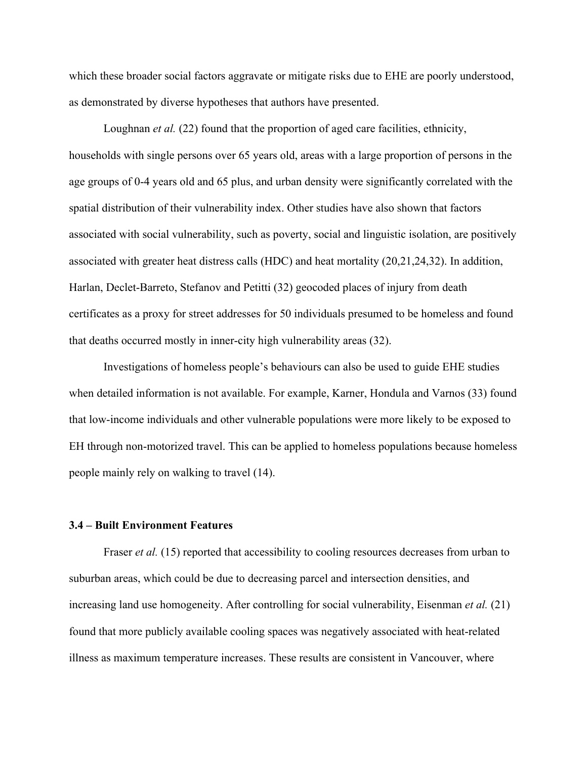which these broader social factors aggravate or mitigate risks due to EHE are poorly understood, as demonstrated by diverse hypotheses that authors have presented.

Loughnan *et al.* (22) found that the proportion of aged care facilities, ethnicity, households with single persons over 65 years old, areas with a large proportion of persons in the age groups of 0-4 years old and 65 plus, and urban density were significantly correlated with the spatial distribution of their vulnerability index. Other studies have also shown that factors associated with social vulnerability, such as poverty, social and linguistic isolation, are positively associated with greater heat distress calls (HDC) and heat mortality (20,21,24,32). In addition, Harlan, Declet-Barreto, Stefanov and Petitti (32) geocoded places of injury from death certificates as a proxy for street addresses for 50 individuals presumed to be homeless and found that deaths occurred mostly in inner-city high vulnerability areas (32).

Investigations of homeless people's behaviours can also be used to guide EHE studies when detailed information is not available. For example, Karner, Hondula and Varnos (33) found that low-income individuals and other vulnerable populations were more likely to be exposed to EH through non-motorized travel. This can be applied to homeless populations because homeless people mainly rely on walking to travel (14).

#### **3.4 – Built Environment Features**

Fraser *et al.* (15) reported that accessibility to cooling resources decreases from urban to suburban areas, which could be due to decreasing parcel and intersection densities, and increasing land use homogeneity. After controlling for social vulnerability, Eisenman *et al.* (21) found that more publicly available cooling spaces was negatively associated with heat-related illness as maximum temperature increases. These results are consistent in Vancouver, where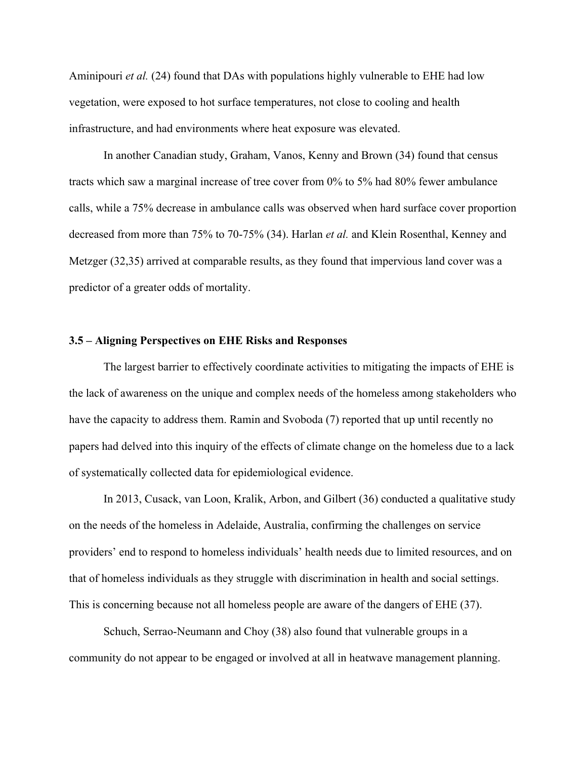Aminipouri *et al.* (24) found that DAs with populations highly vulnerable to EHE had low vegetation, were exposed to hot surface temperatures, not close to cooling and health infrastructure, and had environments where heat exposure was elevated.

In another Canadian study, Graham, Vanos, Kenny and Brown (34) found that census tracts which saw a marginal increase of tree cover from 0% to 5% had 80% fewer ambulance calls, while a 75% decrease in ambulance calls was observed when hard surface cover proportion decreased from more than 75% to 70-75% (34). Harlan *et al.* and Klein Rosenthal, Kenney and Metzger (32,35) arrived at comparable results, as they found that impervious land cover was a predictor of a greater odds of mortality.

#### **3.5 – Aligning Perspectives on EHE Risks and Responses**

The largest barrier to effectively coordinate activities to mitigating the impacts of EHE is the lack of awareness on the unique and complex needs of the homeless among stakeholders who have the capacity to address them. Ramin and Svoboda (7) reported that up until recently no papers had delved into this inquiry of the effects of climate change on the homeless due to a lack of systematically collected data for epidemiological evidence.

In 2013, Cusack, van Loon, Kralik, Arbon, and Gilbert (36) conducted a qualitative study on the needs of the homeless in Adelaide, Australia, confirming the challenges on service providers' end to respond to homeless individuals' health needs due to limited resources, and on that of homeless individuals as they struggle with discrimination in health and social settings. This is concerning because not all homeless people are aware of the dangers of EHE (37).

Schuch, Serrao-Neumann and Choy (38) also found that vulnerable groups in a community do not appear to be engaged or involved at all in heatwave management planning.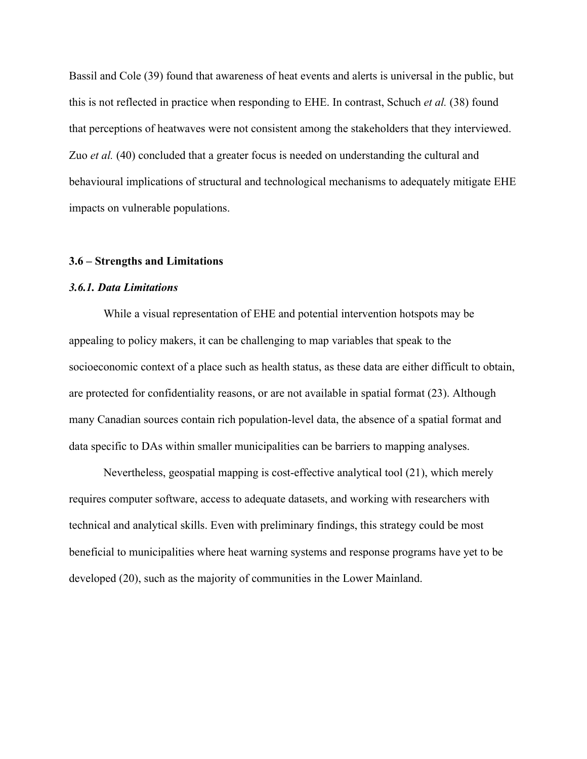Bassil and Cole (39) found that awareness of heat events and alerts is universal in the public, but this is not reflected in practice when responding to EHE. In contrast, Schuch *et al.* (38) found that perceptions of heatwaves were not consistent among the stakeholders that they interviewed. Zuo *et al.* (40) concluded that a greater focus is needed on understanding the cultural and behavioural implications of structural and technological mechanisms to adequately mitigate EHE impacts on vulnerable populations.

#### **3.6 – Strengths and Limitations**

#### *3.6.1. Data Limitations*

While a visual representation of EHE and potential intervention hotspots may be appealing to policy makers, it can be challenging to map variables that speak to the socioeconomic context of a place such as health status, as these data are either difficult to obtain, are protected for confidentiality reasons, or are not available in spatial format (23). Although many Canadian sources contain rich population-level data, the absence of a spatial format and data specific to DAs within smaller municipalities can be barriers to mapping analyses.

Nevertheless, geospatial mapping is cost-effective analytical tool (21), which merely requires computer software, access to adequate datasets, and working with researchers with technical and analytical skills. Even with preliminary findings, this strategy could be most beneficial to municipalities where heat warning systems and response programs have yet to be developed (20), such as the majority of communities in the Lower Mainland.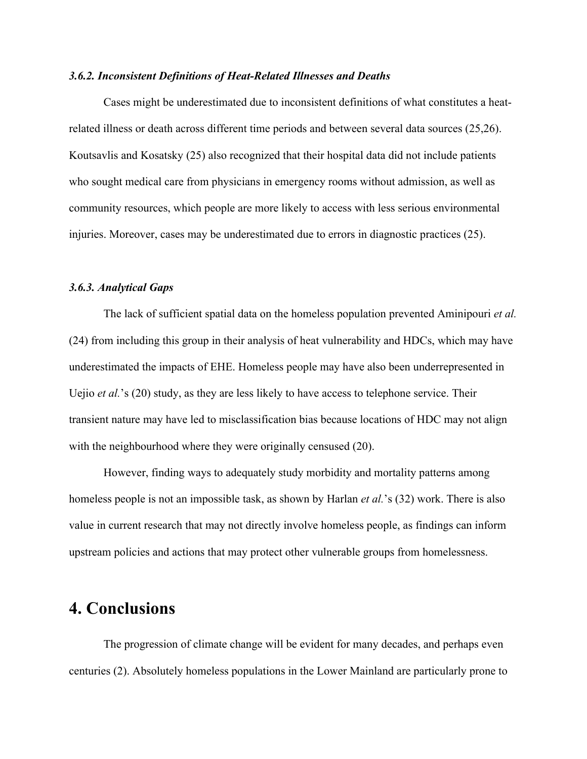#### *3.6.2. Inconsistent Definitions of Heat-Related Illnesses and Deaths*

Cases might be underestimated due to inconsistent definitions of what constitutes a heatrelated illness or death across different time periods and between several data sources (25,26). Koutsavlis and Kosatsky (25) also recognized that their hospital data did not include patients who sought medical care from physicians in emergency rooms without admission, as well as community resources, which people are more likely to access with less serious environmental injuries. Moreover, cases may be underestimated due to errors in diagnostic practices (25).

#### *3.6.3. Analytical Gaps*

The lack of sufficient spatial data on the homeless population prevented Aminipouri *et al.* (24) from including this group in their analysis of heat vulnerability and HDCs, which may have underestimated the impacts of EHE. Homeless people may have also been underrepresented in Uejio *et al.*'s (20) study, as they are less likely to have access to telephone service. Their transient nature may have led to misclassification bias because locations of HDC may not align with the neighbourhood where they were originally censused  $(20)$ .

However, finding ways to adequately study morbidity and mortality patterns among homeless people is not an impossible task, as shown by Harlan *et al.*'s (32) work. There is also value in current research that may not directly involve homeless people, as findings can inform upstream policies and actions that may protect other vulnerable groups from homelessness.

## **4. Conclusions**

The progression of climate change will be evident for many decades, and perhaps even centuries (2). Absolutely homeless populations in the Lower Mainland are particularly prone to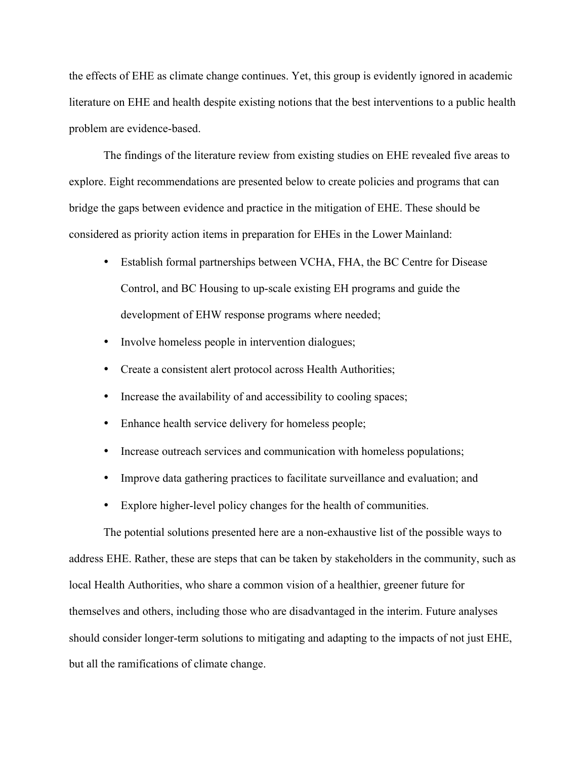the effects of EHE as climate change continues. Yet, this group is evidently ignored in academic literature on EHE and health despite existing notions that the best interventions to a public health problem are evidence-based.

The findings of the literature review from existing studies on EHE revealed five areas to explore. Eight recommendations are presented below to create policies and programs that can bridge the gaps between evidence and practice in the mitigation of EHE. These should be considered as priority action items in preparation for EHEs in the Lower Mainland:

- Establish formal partnerships between VCHA, FHA, the BC Centre for Disease Control, and BC Housing to up-scale existing EH programs and guide the development of EHW response programs where needed;
- Involve homeless people in intervention dialogues;
- Create a consistent alert protocol across Health Authorities;
- Increase the availability of and accessibility to cooling spaces;
- Enhance health service delivery for homeless people;
- Increase outreach services and communication with homeless populations;
- Improve data gathering practices to facilitate surveillance and evaluation; and
- Explore higher-level policy changes for the health of communities.

The potential solutions presented here are a non-exhaustive list of the possible ways to address EHE. Rather, these are steps that can be taken by stakeholders in the community, such as local Health Authorities, who share a common vision of a healthier, greener future for themselves and others, including those who are disadvantaged in the interim. Future analyses should consider longer-term solutions to mitigating and adapting to the impacts of not just EHE, but all the ramifications of climate change.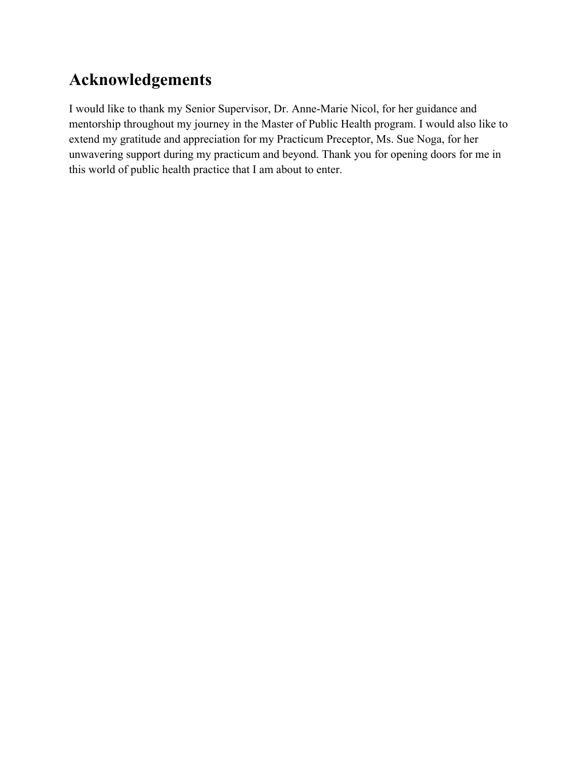# **Acknowledgements**

I would like to thank my Senior Supervisor, Dr. Anne-Marie Nicol, for her guidance and mentorship throughout my journey in the Master of Public Health program. I would also like to extend my gratitude and appreciation for my Practicum Preceptor, Ms. Sue Noga, for her unwavering support during my practicum and beyond. Thank you for opening doors for me in this world of public health practice that I am about to enter.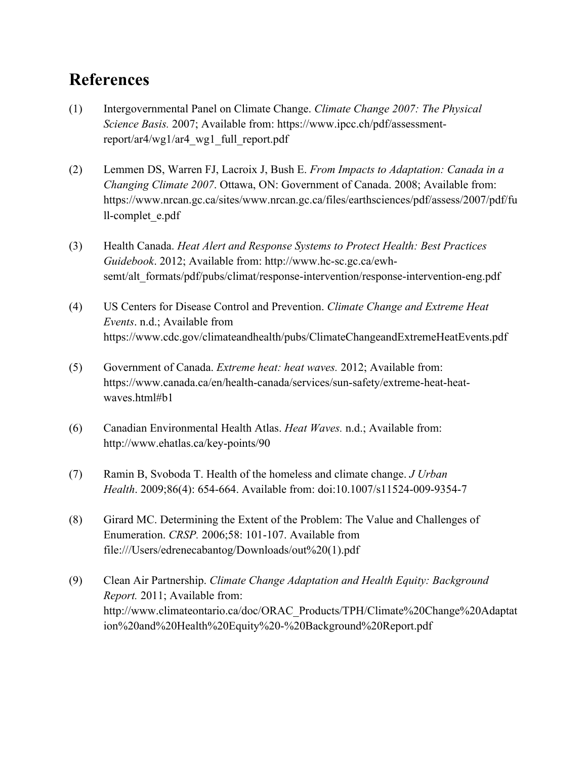# **References**

- (1) Intergovernmental Panel on Climate Change. *Climate Change 2007: The Physical Science Basis.* 2007; Available from: https://www.ipcc.ch/pdf/assessmentreport/ar4/wg1/ar4\_wg1\_full\_report.pdf
- (2) Lemmen DS, Warren FJ, Lacroix J, Bush E. *From Impacts to Adaptation: Canada in a Changing Climate 2007*. Ottawa, ON: Government of Canada. 2008; Available from: https://www.nrcan.gc.ca/sites/www.nrcan.gc.ca/files/earthsciences/pdf/assess/2007/pdf/fu ll-complet\_e.pdf
- (3) Health Canada. *Heat Alert and Response Systems to Protect Health: Best Practices Guidebook*. 2012; Available from: http://www.hc-sc.gc.ca/ewhsemt/alt\_formats/pdf/pubs/climat/response-intervention/response-intervention-eng.pdf
- (4) US Centers for Disease Control and Prevention. *Climate Change and Extreme Heat Events*. n.d.; Available from https://www.cdc.gov/climateandhealth/pubs/ClimateChangeandExtremeHeatEvents.pdf
- (5) Government of Canada. *Extreme heat: heat waves.* 2012; Available from: https://www.canada.ca/en/health-canada/services/sun-safety/extreme-heat-heatwaves.html#b1
- (6) Canadian Environmental Health Atlas. *Heat Waves.* n.d.; Available from: http://www.ehatlas.ca/key-points/90
- (7) Ramin B, Svoboda T. Health of the homeless and climate change. *J Urban Health*. 2009;86(4): 654-664. Available from: doi:10.1007/s11524-009-9354-7
- (8) Girard MC. Determining the Extent of the Problem: The Value and Challenges of Enumeration. *CRSP.* 2006;58: 101-107. Available from file:///Users/edrenecabantog/Downloads/out%20(1).pdf
- (9) Clean Air Partnership. *Climate Change Adaptation and Health Equity: Background Report.* 2011; Available from: http://www.climateontario.ca/doc/ORAC\_Products/TPH/Climate%20Change%20Adaptat ion%20and%20Health%20Equity%20-%20Background%20Report.pdf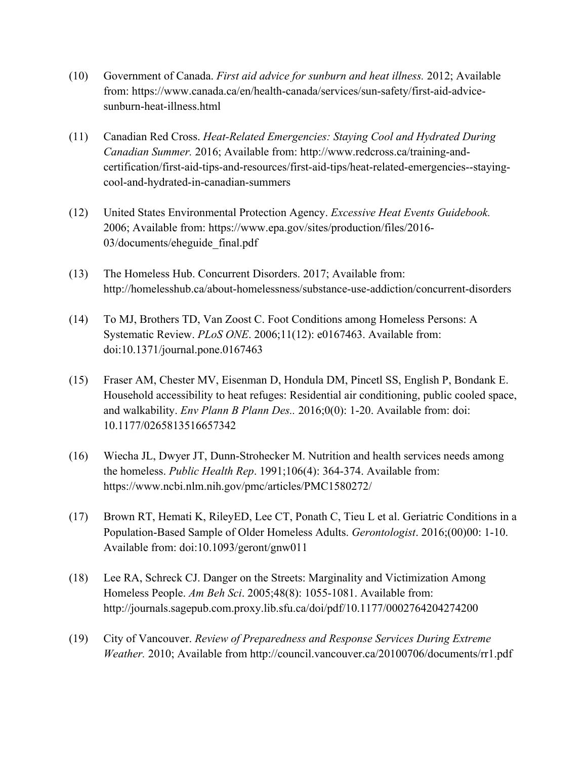- (10) Government of Canada. *First aid advice for sunburn and heat illness.* 2012; Available from: https://www.canada.ca/en/health-canada/services/sun-safety/first-aid-advicesunburn-heat-illness.html
- (11) Canadian Red Cross. *Heat-Related Emergencies: Staying Cool and Hydrated During Canadian Summer.* 2016; Available from: http://www.redcross.ca/training-andcertification/first-aid-tips-and-resources/first-aid-tips/heat-related-emergencies--stayingcool-and-hydrated-in-canadian-summers
- (12) United States Environmental Protection Agency. *Excessive Heat Events Guidebook.* 2006; Available from: https://www.epa.gov/sites/production/files/2016- 03/documents/eheguide\_final.pdf
- (13) The Homeless Hub. Concurrent Disorders. 2017; Available from: http://homelesshub.ca/about-homelessness/substance-use-addiction/concurrent-disorders
- (14) To MJ, Brothers TD, Van Zoost C. Foot Conditions among Homeless Persons: A Systematic Review. *PLoS ONE*. 2006;11(12): e0167463. Available from: doi:10.1371/journal.pone.0167463
- (15) Fraser AM, Chester MV, Eisenman D, Hondula DM, Pincetl SS, English P, Bondank E. Household accessibility to heat refuges: Residential air conditioning, public cooled space, and walkability. *Env Plann B Plann Des..* 2016;0(0): 1-20. Available from: doi: 10.1177/0265813516657342
- (16) Wiecha JL, Dwyer JT, Dunn-Strohecker M. Nutrition and health services needs among the homeless. *Public Health Rep*. 1991;106(4): 364-374. Available from: https://www.ncbi.nlm.nih.gov/pmc/articles/PMC1580272/
- (17) Brown RT, Hemati K, RileyED, Lee CT, Ponath C, Tieu L et al. Geriatric Conditions in a Population-Based Sample of Older Homeless Adults. *Gerontologist*. 2016;(00)00: 1-10. Available from: doi:10.1093/geront/gnw011
- (18) Lee RA, Schreck CJ. Danger on the Streets: Marginality and Victimization Among Homeless People. *Am Beh Sci*. 2005;48(8): 1055-1081. Available from: http://journals.sagepub.com.proxy.lib.sfu.ca/doi/pdf/10.1177/0002764204274200
- (19) City of Vancouver. *Review of Preparedness and Response Services During Extreme Weather.* 2010; Available from http://council.vancouver.ca/20100706/documents/rr1.pdf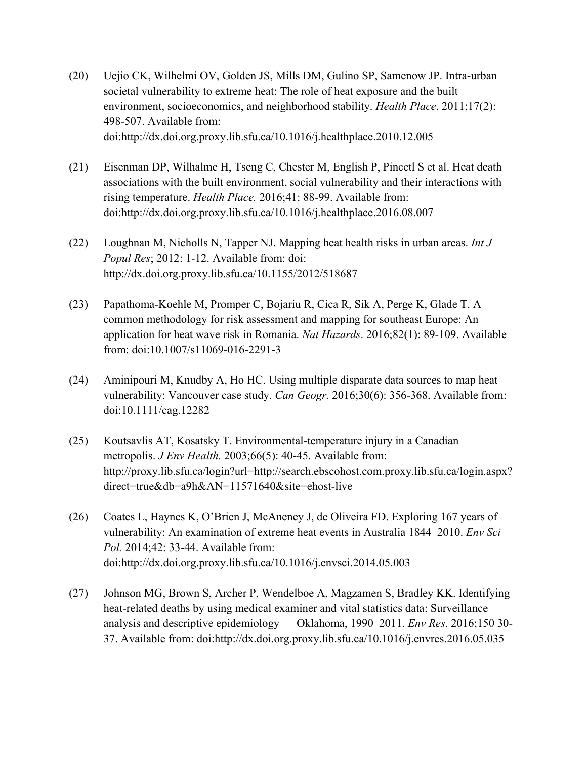- (20) Uejio CK, Wilhelmi OV, Golden JS, Mills DM, Gulino SP, Samenow JP. Intra-urban societal vulnerability to extreme heat: The role of heat exposure and the built environment, socioeconomics, and neighborhood stability. *Health Place*. 2011;17(2): 498-507. Available from: doi:http://dx.doi.org.proxy.lib.sfu.ca/10.1016/j.healthplace.2010.12.005
- (21) Eisenman DP, Wilhalme H, Tseng C, Chester M, English P, Pincetl S et al. Heat death associations with the built environment, social vulnerability and their interactions with rising temperature. *Health Place.* 2016;41: 88-99. Available from: doi:http://dx.doi.org.proxy.lib.sfu.ca/10.1016/j.healthplace.2016.08.007
- (22) Loughnan M, Nicholls N, Tapper NJ. Mapping heat health risks in urban areas. *Int J Popul Res*; 2012: 1-12. Available from: doi: http://dx.doi.org.proxy.lib.sfu.ca/10.1155/2012/518687
- (23) Papathoma-Koehle M, Promper C, Bojariu R, Cica R, Sik A, Perge K, Glade T. A common methodology for risk assessment and mapping for southeast Europe: An application for heat wave risk in Romania. *Nat Hazards*. 2016;82(1): 89-109. Available from: doi:10.1007/s11069-016-2291-3
- (24) Aminipouri M, Knudby A, Ho HC. Using multiple disparate data sources to map heat vulnerability: Vancouver case study. *Can Geogr.* 2016;30(6): 356-368. Available from: doi:10.1111/cag.12282
- (25) Koutsavlis AT, Kosatsky T. Environmental-temperature injury in a Canadian metropolis. *J Env Health.* 2003;66(5): 40-45. Available from: http://proxy.lib.sfu.ca/login?url=http://search.ebscohost.com.proxy.lib.sfu.ca/login.aspx? direct=true&db=a9h&AN=11571640&site=ehost-live
- (26) Coates L, Haynes K, O'Brien J, McAneney J, de Oliveira FD. Exploring 167 years of vulnerability: An examination of extreme heat events in Australia 1844–2010. *Env Sci Pol.* 2014;42: 33-44. Available from: doi:http://dx.doi.org.proxy.lib.sfu.ca/10.1016/j.envsci.2014.05.003
- (27) Johnson MG, Brown S, Archer P, Wendelboe A, Magzamen S, Bradley KK. Identifying heat-related deaths by using medical examiner and vital statistics data: Surveillance analysis and descriptive epidemiology — Oklahoma, 1990–2011. *Env Res*. 2016;150 30- 37. Available from: doi:http://dx.doi.org.proxy.lib.sfu.ca/10.1016/j.envres.2016.05.035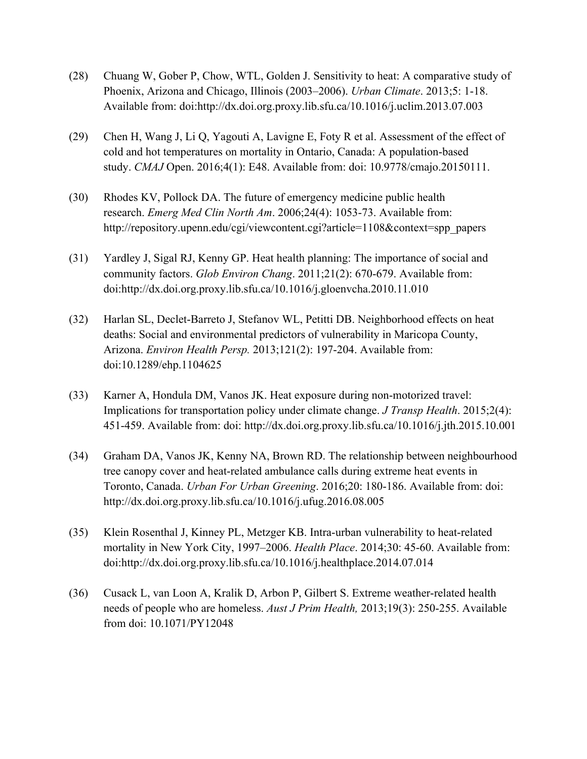- (28) Chuang W, Gober P, Chow, WTL, Golden J. Sensitivity to heat: A comparative study of Phoenix, Arizona and Chicago, Illinois (2003–2006). *Urban Climate*. 2013;5: 1-18. Available from: doi:http://dx.doi.org.proxy.lib.sfu.ca/10.1016/j.uclim.2013.07.003
- (29) Chen H, Wang J, Li Q, Yagouti A, Lavigne E, Foty R et al. Assessment of the effect of cold and hot temperatures on mortality in Ontario, Canada: A population-based study. *CMAJ* Open. 2016;4(1): E48. Available from: doi: 10.9778/cmajo.20150111.
- (30) Rhodes KV, Pollock DA. The future of emergency medicine public health research. *Emerg Med Clin North Am*. 2006;24(4): 1053-73. Available from: http://repository.upenn.edu/cgi/viewcontent.cgi?article=1108&context=spp\_papers
- (31) Yardley J, Sigal RJ, Kenny GP. Heat health planning: The importance of social and community factors. *Glob Environ Chang*. 2011;21(2): 670-679. Available from: doi:http://dx.doi.org.proxy.lib.sfu.ca/10.1016/j.gloenvcha.2010.11.010
- (32) Harlan SL, Declet-Barreto J, Stefanov WL, Petitti DB. Neighborhood effects on heat deaths: Social and environmental predictors of vulnerability in Maricopa County, Arizona. *Environ Health Persp.* 2013;121(2): 197-204. Available from: doi:10.1289/ehp.1104625
- (33) Karner A, Hondula DM, Vanos JK. Heat exposure during non-motorized travel: Implications for transportation policy under climate change. *J Transp Health*. 2015;2(4): 451-459. Available from: doi: http://dx.doi.org.proxy.lib.sfu.ca/10.1016/j.jth.2015.10.001
- (34) Graham DA, Vanos JK, Kenny NA, Brown RD. The relationship between neighbourhood tree canopy cover and heat-related ambulance calls during extreme heat events in Toronto, Canada. *Urban For Urban Greening*. 2016;20: 180-186. Available from: doi: http://dx.doi.org.proxy.lib.sfu.ca/10.1016/j.ufug.2016.08.005
- (35) Klein Rosenthal J, Kinney PL, Metzger KB. Intra-urban vulnerability to heat-related mortality in New York City, 1997–2006. *Health Place*. 2014;30: 45-60. Available from: doi:http://dx.doi.org.proxy.lib.sfu.ca/10.1016/j.healthplace.2014.07.014
- (36) Cusack L, van Loon A, Kralik D, Arbon P, Gilbert S. Extreme weather-related health needs of people who are homeless. *Aust J Prim Health,* 2013;19(3): 250-255. Available from doi: 10.1071/PY12048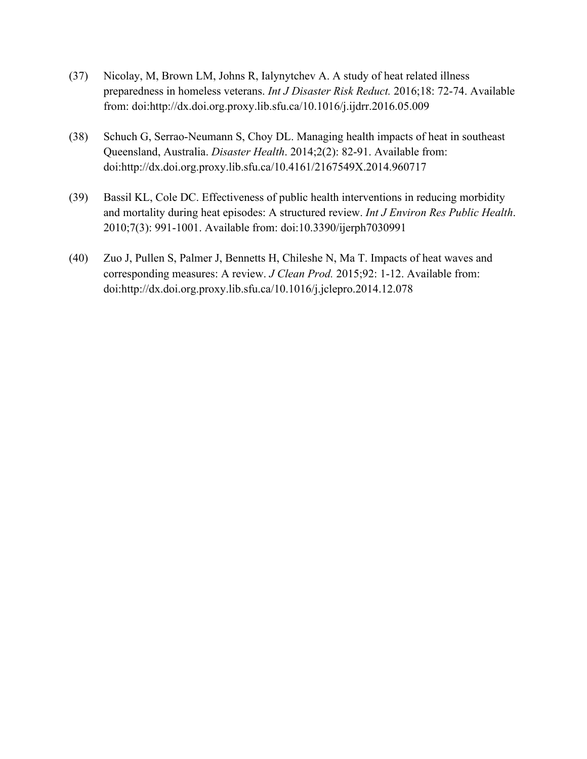- (37) Nicolay, M, Brown LM, Johns R, Ialynytchev A. A study of heat related illness preparedness in homeless veterans. *Int J Disaster Risk Reduct.* 2016;18: 72-74. Available from: doi:http://dx.doi.org.proxy.lib.sfu.ca/10.1016/j.ijdrr.2016.05.009
- (38) Schuch G, Serrao-Neumann S, Choy DL. Managing health impacts of heat in southeast Queensland, Australia. *Disaster Health*. 2014;2(2): 82-91. Available from: doi:http://dx.doi.org.proxy.lib.sfu.ca/10.4161/2167549X.2014.960717
- (39) Bassil KL, Cole DC. Effectiveness of public health interventions in reducing morbidity and mortality during heat episodes: A structured review. *Int J Environ Res Public Health*. 2010;7(3): 991-1001. Available from: doi:10.3390/ijerph7030991
- (40) Zuo J, Pullen S, Palmer J, Bennetts H, Chileshe N, Ma T. Impacts of heat waves and corresponding measures: A review. *J Clean Prod.* 2015;92: 1-12. Available from: doi:http://dx.doi.org.proxy.lib.sfu.ca/10.1016/j.jclepro.2014.12.078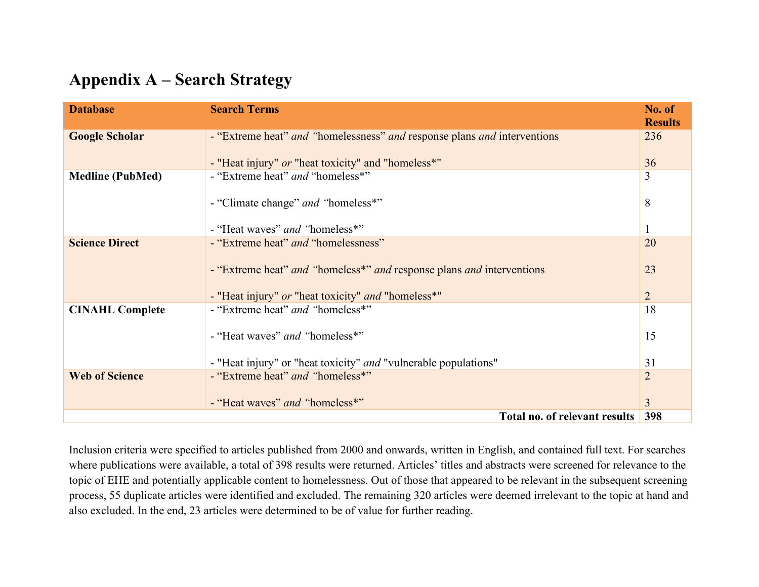# **Appendix A – Search Strategy**

| <b>Database</b>               | <b>Search Terms</b>                                                      | No. of<br><b>Results</b> |
|-------------------------------|--------------------------------------------------------------------------|--------------------------|
| <b>Google Scholar</b>         | - "Extreme heat" and "homelessness" and response plans and interventions | 236                      |
|                               | - "Heat injury" or "heat toxicity" and "homeless*"                       | 36                       |
| <b>Medline (PubMed)</b>       | - "Extreme heat" and "homeless*"                                         | 3                        |
|                               | - "Climate change" and "homeless*"                                       | 8                        |
|                               | - "Heat waves" and "homeless*"                                           |                          |
| <b>Science Direct</b>         | - "Extreme heat" and "homelessness"                                      | 20                       |
|                               | - "Extreme heat" and "homeless*" and response plans and interventions    | 23                       |
|                               | - "Heat injury" or "heat toxicity" and "homeless*"                       | 2                        |
| <b>CINAHL Complete</b>        | - "Extreme heat" and "homeless*"                                         | 18                       |
|                               | - "Heat waves" and "homeless*"                                           | 15                       |
|                               | - "Heat injury" or "heat toxicity" <i>and</i> "vulnerable populations"   | 31                       |
| <b>Web of Science</b>         | - "Extreme heat" and "homeless*"                                         | $\overline{2}$           |
|                               | - "Heat waves" and "homeless*"                                           | 3                        |
| Total no. of relevant results |                                                                          |                          |

Inclusion criteria were specified to articles published from 2000 and onwards, written in English, and contained full text. For searches where publications were available, a total of 398 results were returned. Articles' titles and abstracts were screened for relevance to the topic of EHE and potentially applicable content to homelessness. Out of those that appeared to be relevant in the subsequent screening process, 55 duplicate articles were identified and excluded. The remaining 320 articles were deemed irrelevant to the topic at hand and also excluded. In the end, 23 articles were determined to be of value for further reading.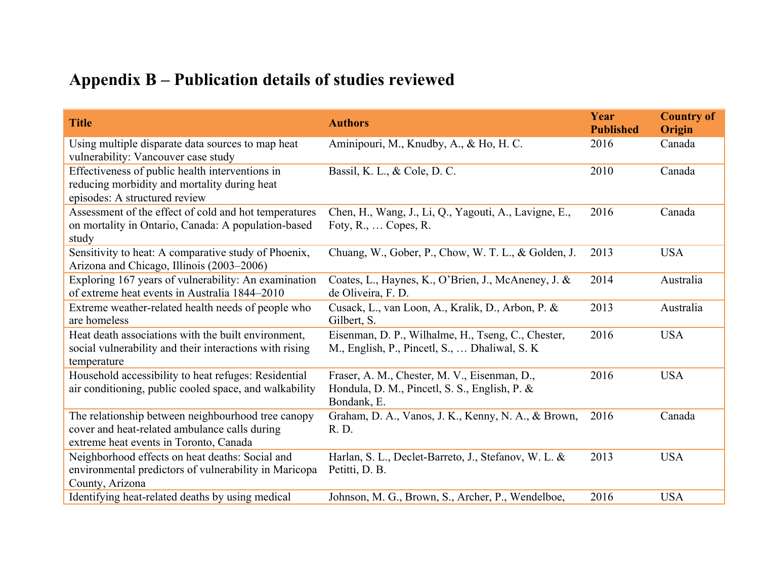# **Appendix B – Publication details of studies reviewed**

| <b>Title</b>                                                                                                                                  | <b>Authors</b>                                                                                               | Year<br><b>Published</b> | <b>Country of</b><br>Origin |
|-----------------------------------------------------------------------------------------------------------------------------------------------|--------------------------------------------------------------------------------------------------------------|--------------------------|-----------------------------|
| Using multiple disparate data sources to map heat<br>vulnerability: Vancouver case study                                                      | Aminipouri, M., Knudby, A., & Ho, H. C.                                                                      | 2016                     | Canada                      |
| Effectiveness of public health interventions in<br>reducing morbidity and mortality during heat<br>episodes: A structured review              | Bassil, K. L., & Cole, D. C.                                                                                 | 2010                     | Canada                      |
| Assessment of the effect of cold and hot temperatures<br>on mortality in Ontario, Canada: A population-based<br>study                         | Chen, H., Wang, J., Li, Q., Yagouti, A., Lavigne, E.,<br>Foty, $R_{\cdot}$ , $\ldots$ Copes, $R_{\cdot}$     | 2016                     | Canada                      |
| Sensitivity to heat: A comparative study of Phoenix,<br>Arizona and Chicago, Illinois (2003–2006)                                             | Chuang, W., Gober, P., Chow, W. T. L., & Golden, J.                                                          | 2013                     | <b>USA</b>                  |
| Exploring 167 years of vulnerability: An examination<br>of extreme heat events in Australia 1844–2010                                         | Coates, L., Haynes, K., O'Brien, J., McAneney, J. &<br>de Oliveira, F. D.                                    | 2014                     | Australia                   |
| Extreme weather-related health needs of people who<br>are homeless                                                                            | Cusack, L., van Loon, A., Kralik, D., Arbon, P. &<br>Gilbert, S.                                             | 2013                     | Australia                   |
| Heat death associations with the built environment,<br>social vulnerability and their interactions with rising<br>temperature                 | Eisenman, D. P., Wilhalme, H., Tseng, C., Chester,<br>M., English, P., Pincetl, S.,  Dhaliwal, S. K.         | 2016                     | <b>USA</b>                  |
| Household accessibility to heat refuges: Residential<br>air conditioning, public cooled space, and walkability                                | Fraser, A. M., Chester, M. V., Eisenman, D.,<br>Hondula, D. M., Pincetl, S. S., English, P. &<br>Bondank, E. | 2016                     | <b>USA</b>                  |
| The relationship between neighbourhood tree canopy<br>cover and heat-related ambulance calls during<br>extreme heat events in Toronto, Canada | Graham, D. A., Vanos, J. K., Kenny, N. A., & Brown,<br>R. D.                                                 | 2016                     | Canada                      |
| Neighborhood effects on heat deaths: Social and<br>environmental predictors of vulnerability in Maricopa<br>County, Arizona                   | Harlan, S. L., Declet-Barreto, J., Stefanov, W. L. &<br>Petitti, D. B.                                       | 2013                     | <b>USA</b>                  |
| Identifying heat-related deaths by using medical                                                                                              | Johnson, M. G., Brown, S., Archer, P., Wendelboe,                                                            | 2016                     | <b>USA</b>                  |